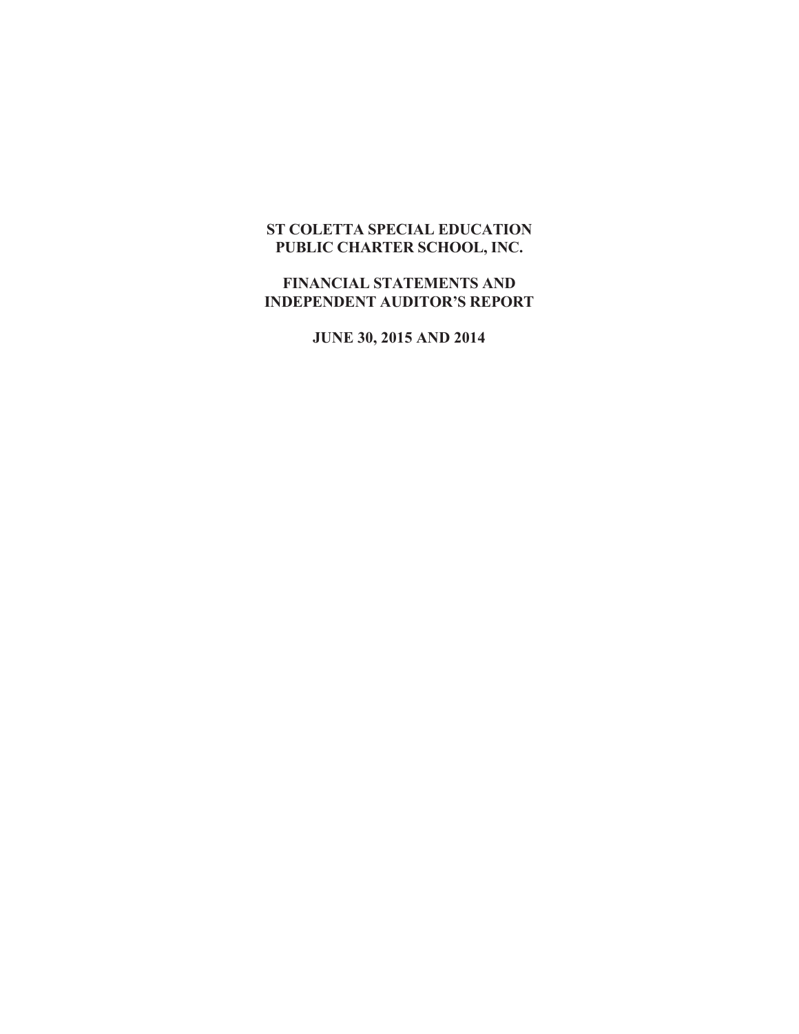# **ST COLETTA SPECIAL EDUCATION PUBLIC CHARTER SCHOOL, INC.**

# **FINANCIAL STATEMENTS AND INDEPENDENT AUDITOR'S REPORT**

**JUNE 30, 2015 AND 2014**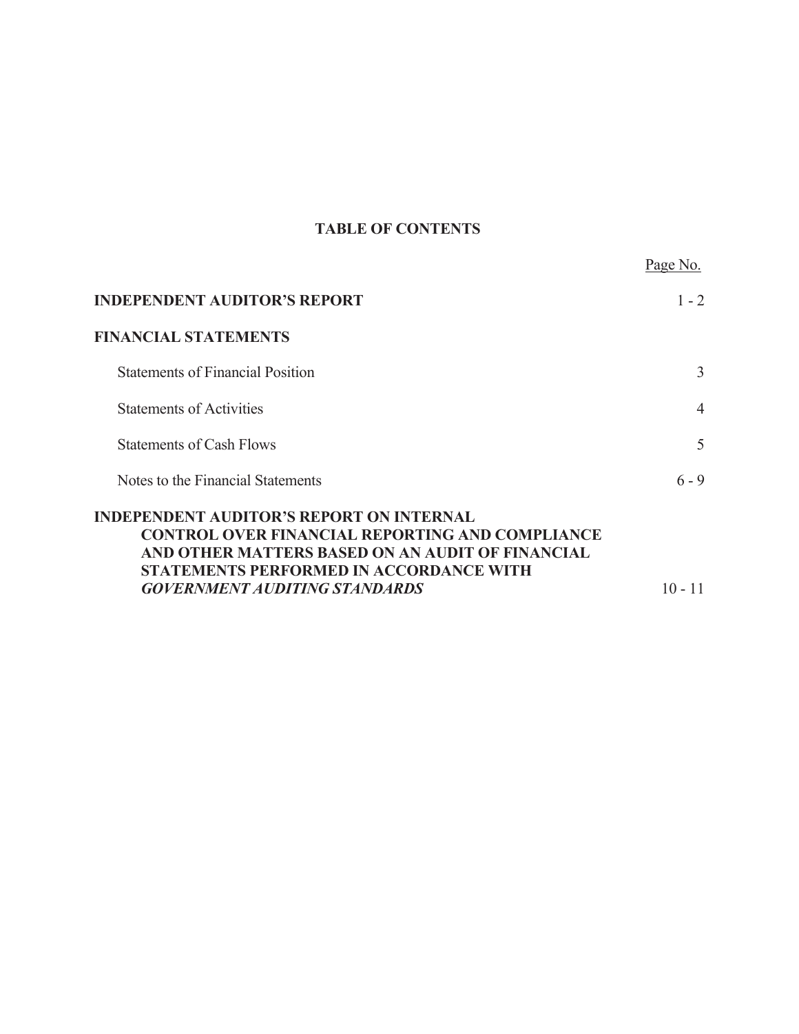# **TABLE OF CONTENTS**

|                                                                                                                                                                                                                                                         | Page No.       |
|---------------------------------------------------------------------------------------------------------------------------------------------------------------------------------------------------------------------------------------------------------|----------------|
| <b>INDEPENDENT AUDITOR'S REPORT</b>                                                                                                                                                                                                                     | $1 - 2$        |
| <b>FINANCIAL STATEMENTS</b>                                                                                                                                                                                                                             |                |
| <b>Statements of Financial Position</b>                                                                                                                                                                                                                 | 3              |
| <b>Statements of Activities</b>                                                                                                                                                                                                                         | $\overline{4}$ |
| <b>Statements of Cash Flows</b>                                                                                                                                                                                                                         | 5              |
| Notes to the Financial Statements                                                                                                                                                                                                                       | $6 - 9$        |
| <b>INDEPENDENT AUDITOR'S REPORT ON INTERNAL</b><br><b>CONTROL OVER FINANCIAL REPORTING AND COMPLIANCE</b><br>AND OTHER MATTERS BASED ON AN AUDIT OF FINANCIAL<br><b>STATEMENTS PERFORMED IN ACCORDANCE WITH</b><br><b>GOVERNMENT AUDITING STANDARDS</b> | 10 - 11        |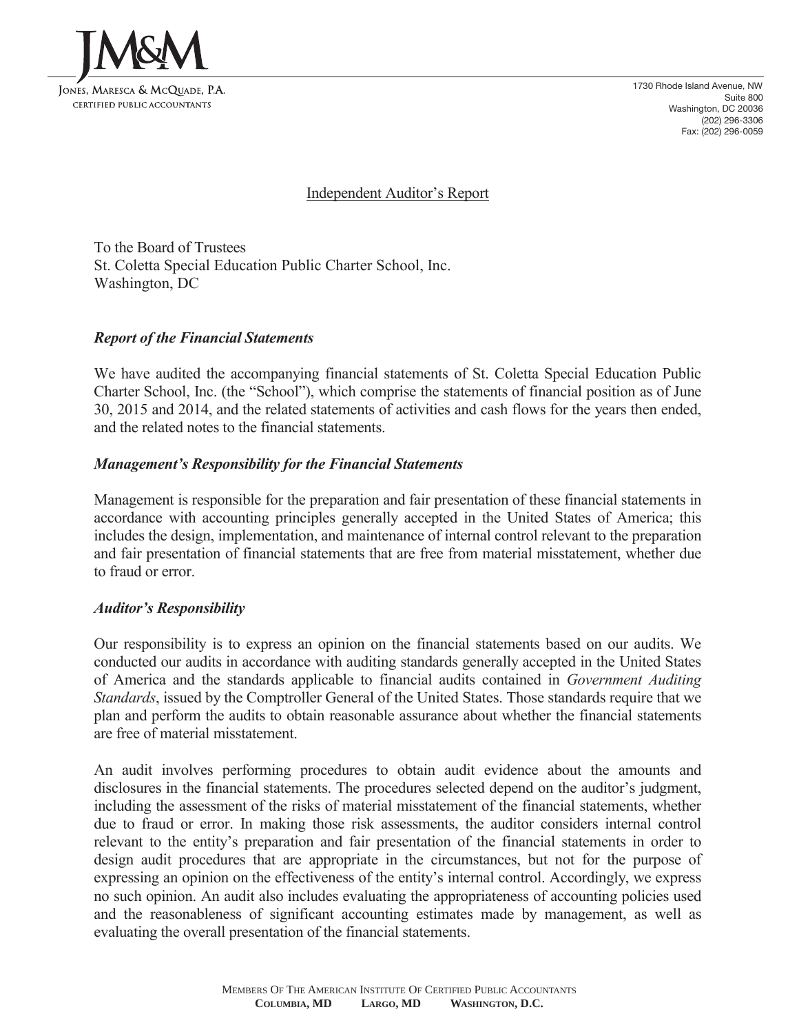

1730 Rhode Island Avenue, NW Suite 800 Washington, DC 20036 (202) 296-3306 Fax: (202) 296-0059

# Independent Auditor's Report

To the Board of Trustees St. Coletta Special Education Public Charter School, Inc. Washington, DC

## *Report of the Financial Statements*

We have audited the accompanying financial statements of St. Coletta Special Education Public Charter School, Inc. (the "School"), which comprise the statements of financial position as of June 30, 2015 and 2014, and the related statements of activities and cash flows for the years then ended, and the related notes to the financial statements.

## *Management's Responsibility for the Financial Statements*

Management is responsible for the preparation and fair presentation of these financial statements in accordance with accounting principles generally accepted in the United States of America; this includes the design, implementation, and maintenance of internal control relevant to the preparation and fair presentation of financial statements that are free from material misstatement, whether due to fraud or error.

## *Auditor's Responsibility*

Our responsibility is to express an opinion on the financial statements based on our audits. We conducted our audits in accordance with auditing standards generally accepted in the United States of America and the standards applicable to financial audits contained in *Government Auditing Standards*, issued by the Comptroller General of the United States. Those standards require that we plan and perform the audits to obtain reasonable assurance about whether the financial statements are free of material misstatement.

An audit involves performing procedures to obtain audit evidence about the amounts and disclosures in the financial statements. The procedures selected depend on the auditor's judgment, including the assessment of the risks of material misstatement of the financial statements, whether due to fraud or error. In making those risk assessments, the auditor considers internal control relevant to the entity's preparation and fair presentation of the financial statements in order to design audit procedures that are appropriate in the circumstances, but not for the purpose of expressing an opinion on the effectiveness of the entity's internal control. Accordingly, we express no such opinion. An audit also includes evaluating the appropriateness of accounting policies used and the reasonableness of significant accounting estimates made by management, as well as evaluating the overall presentation of the financial statements.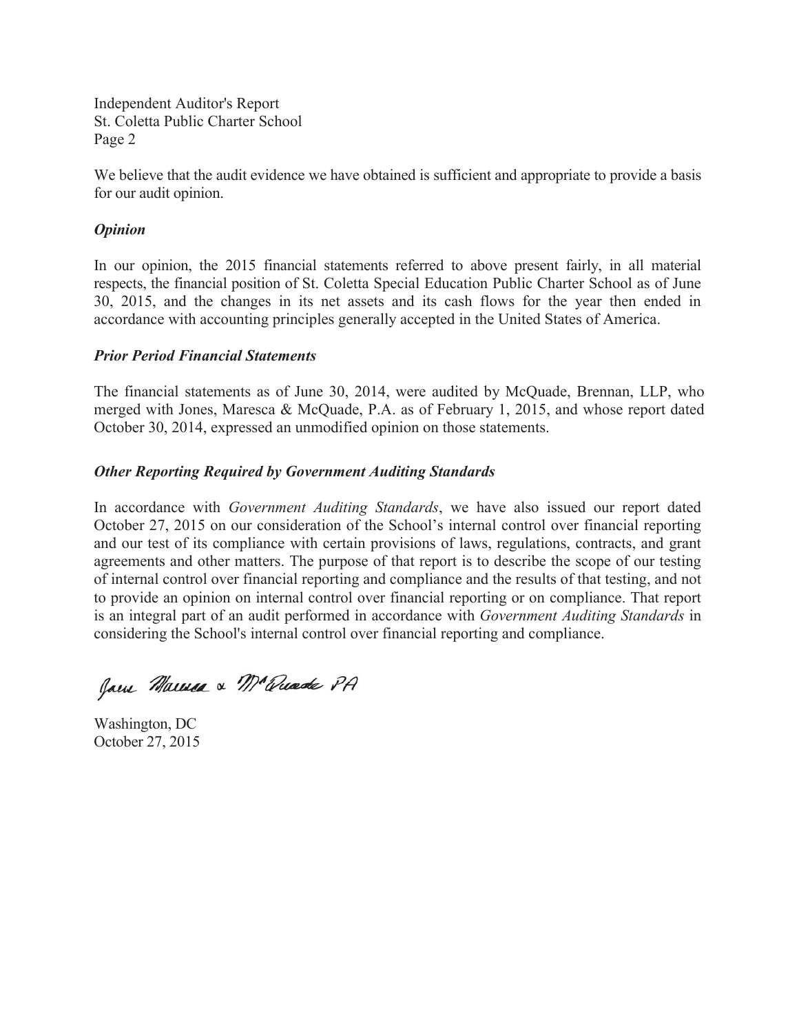Independent Auditor's Report St. Coletta Public Charter School Page 2

We believe that the audit evidence we have obtained is sufficient and appropriate to provide a basis for our audit opinion.

#### *Opinion*

In our opinion, the 2015 financial statements referred to above present fairly, in all material respects, the financial position of St. Coletta Special Education Public Charter School as of June 30, 2015, and the changes in its net assets and its cash flows for the year then ended in accordance with accounting principles generally accepted in the United States of America.

#### *Prior Period Financial Statements*

The financial statements as of June 30, 2014, were audited by McQuade, Brennan, LLP, who merged with Jones, Maresca & McQuade, P.A. as of February 1, 2015, and whose report dated October 30, 2014, expressed an unmodified opinion on those statements.

## *Other Reporting Required by Government Auditing Standards*

In accordance with *Government Auditing Standards*, we have also issued our report dated October 27, 2015 on our consideration of the School's internal control over financial reporting and our test of its compliance with certain provisions of laws, regulations, contracts, and grant agreements and other matters. The purpose of that report is to describe the scope of our testing of internal control over financial reporting and compliance and the results of that testing, and not to provide an opinion on internal control over financial reporting or on compliance. That report is an integral part of an audit performed in accordance with *Government Auditing Standards* in considering the School's internal control over financial reporting and compliance.

Jam Marie & Ma Quade PA

Washington, DC October 27, 2015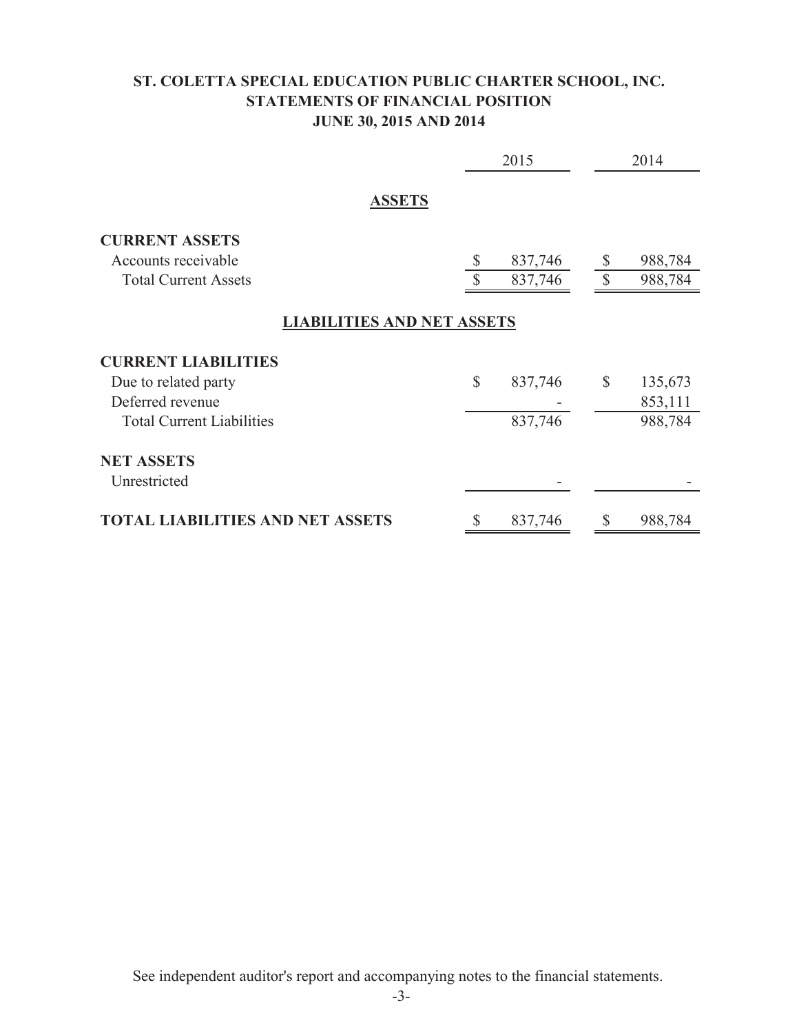# **ST. COLETTA SPECIAL EDUCATION PUBLIC CHARTER SCHOOL, INC. STATEMENTS OF FINANCIAL POSITION JUNE 30, 2015 AND 2014**

|                                                                 | 2015          |               | 2014    |  |
|-----------------------------------------------------------------|---------------|---------------|---------|--|
| <b>ASSETS</b>                                                   |               |               |         |  |
| <b>CURRENT ASSETS</b>                                           |               |               |         |  |
| Accounts receivable                                             | \$<br>837,746 | \$            | 988,784 |  |
| <b>Total Current Assets</b>                                     | 837,746       | $\mathcal{S}$ | 988,784 |  |
| <b>LIABILITIES AND NET ASSETS</b><br><b>CURRENT LIABILITIES</b> |               |               |         |  |
| Due to related party                                            | \$<br>837,746 | \$            | 135,673 |  |
| Deferred revenue                                                |               |               | 853,111 |  |
| <b>Total Current Liabilities</b>                                | 837,746       |               | 988,784 |  |
| <b>NET ASSETS</b>                                               |               |               |         |  |
| Unrestricted                                                    |               |               |         |  |
| <b>TOTAL LIABILITIES AND NET ASSETS</b>                         | \$<br>837,746 | \$            | 988,784 |  |

See independent auditor's report and accompanying notes to the financial statements.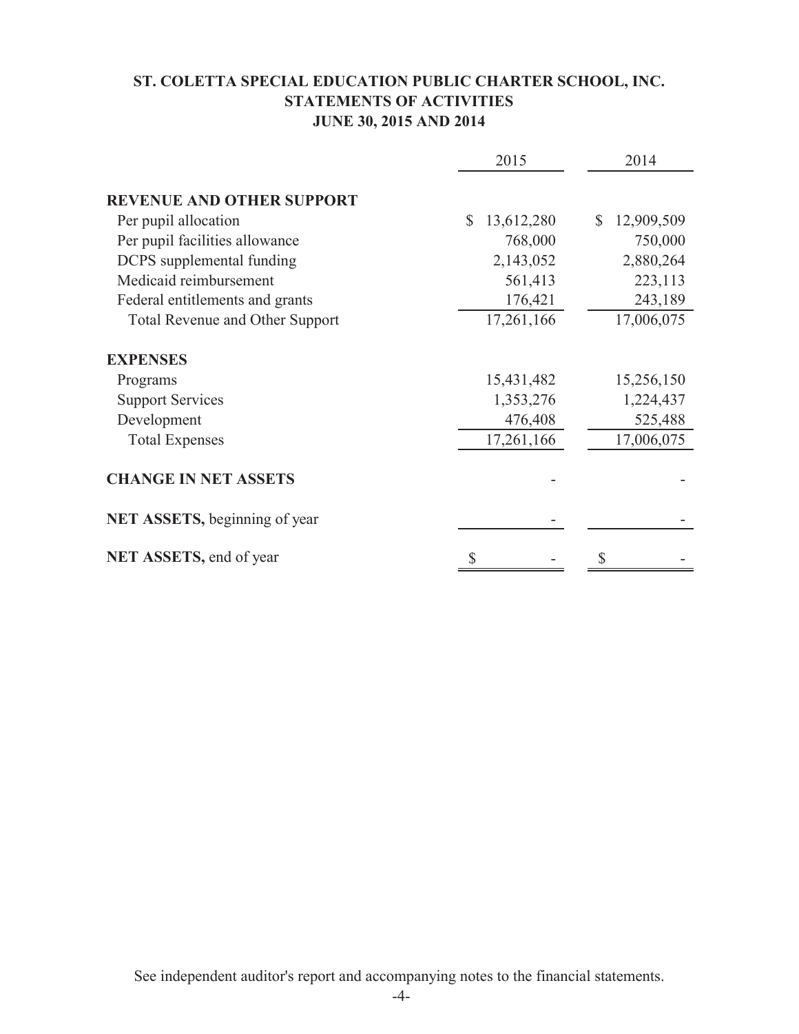# **ST. COLETTA SPECIAL EDUCATION PUBLIC CHARTER SCHOOL, INC. STATEMENTS OF ACTIVITIES JUNE 30, 2015 AND 2014**

|                                        | 2015                       | 2014                       |  |
|----------------------------------------|----------------------------|----------------------------|--|
|                                        |                            |                            |  |
| <b>REVENUE AND OTHER SUPPORT</b>       |                            |                            |  |
| Per pupil allocation                   | 13,612,280<br>$\mathbb{S}$ | 12,909,509<br>$\mathbb{S}$ |  |
| Per pupil facilities allowance         | 768,000                    | 750,000                    |  |
| DCPS supplemental funding              | 2,143,052                  | 2,880,264                  |  |
| Medicaid reimbursement                 | 561,413                    | 223,113                    |  |
| Federal entitlements and grants        | 176,421                    | 243,189                    |  |
| <b>Total Revenue and Other Support</b> | 17,261,166                 | 17,006,075                 |  |
| <b>EXPENSES</b>                        |                            |                            |  |
| Programs                               | 15,431,482                 | 15,256,150                 |  |
| <b>Support Services</b>                | 1,353,276                  | 1,224,437                  |  |
| Development                            | 476,408                    | 525,488                    |  |
| <b>Total Expenses</b>                  | 17,261,166                 | 17,006,075                 |  |
| <b>CHANGE IN NET ASSETS</b>            |                            |                            |  |
| <b>NET ASSETS, beginning of year</b>   |                            |                            |  |
| NET ASSETS, end of year                |                            |                            |  |

See independent auditor's report and accompanying notes to the financial statements.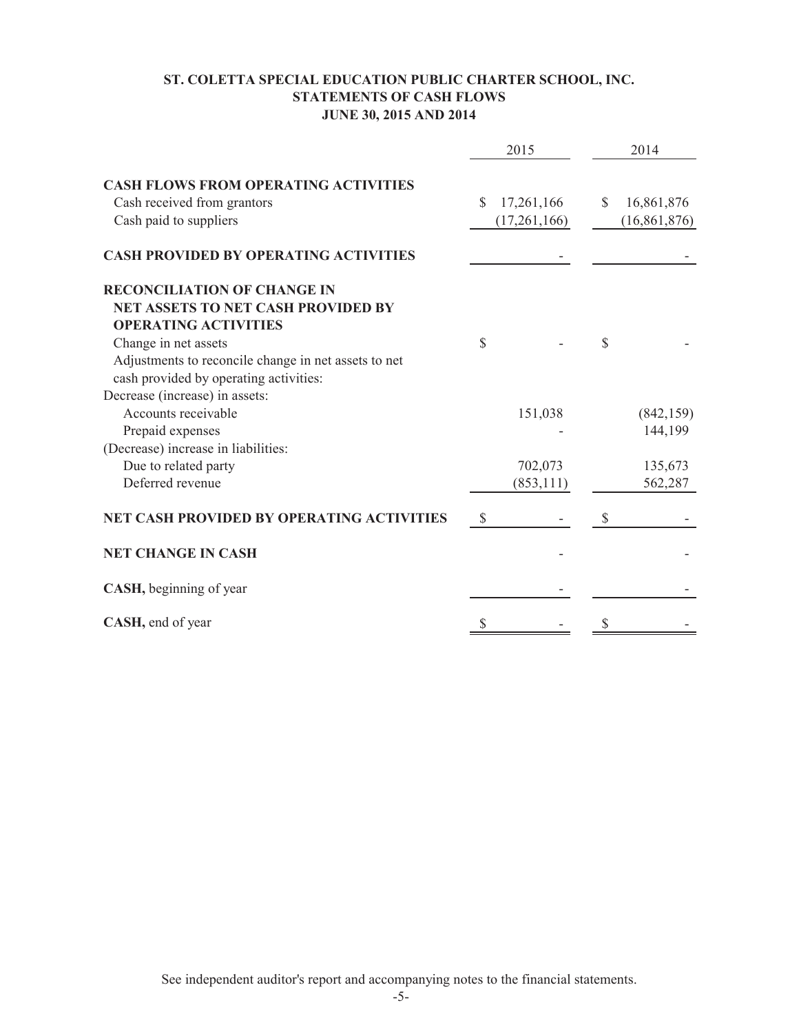## **ST. COLETTA SPECIAL EDUCATION PUBLIC CHARTER SCHOOL, INC. STATEMENTS OF CASH FLOWS JUNE 30, 2015 AND 2014**

|                                                                                                                                                                                                | 2015<br>17,261,166<br>$\mathbb{S}$<br>(17,261,166) |                       | 2014<br>$\mathcal{S}$<br>16,861,876<br>(16, 861, 876) |                       |
|------------------------------------------------------------------------------------------------------------------------------------------------------------------------------------------------|----------------------------------------------------|-----------------------|-------------------------------------------------------|-----------------------|
| <b>CASH FLOWS FROM OPERATING ACTIVITIES</b><br>Cash received from grantors<br>Cash paid to suppliers                                                                                           |                                                    |                       |                                                       |                       |
| <b>CASH PROVIDED BY OPERATING ACTIVITIES</b>                                                                                                                                                   |                                                    |                       |                                                       |                       |
| <b>RECONCILIATION OF CHANGE IN</b><br><b>NET ASSETS TO NET CASH PROVIDED BY</b><br><b>OPERATING ACTIVITIES</b><br>Change in net assets<br>Adjustments to reconcile change in net assets to net | S                                                  |                       | \$                                                    |                       |
| cash provided by operating activities:<br>Decrease (increase) in assets:<br>Accounts receivable<br>Prepaid expenses                                                                            |                                                    | 151,038               |                                                       | (842, 159)<br>144,199 |
| (Decrease) increase in liabilities:<br>Due to related party<br>Deferred revenue                                                                                                                |                                                    | 702,073<br>(853, 111) |                                                       | 135,673<br>562,287    |
| NET CASH PROVIDED BY OPERATING ACTIVITIES                                                                                                                                                      | $\mathcal{S}$                                      |                       |                                                       |                       |
| <b>NET CHANGE IN CASH</b>                                                                                                                                                                      |                                                    |                       |                                                       |                       |
| CASH, beginning of year                                                                                                                                                                        |                                                    |                       |                                                       |                       |
| CASH, end of year                                                                                                                                                                              | \$                                                 |                       | \$                                                    |                       |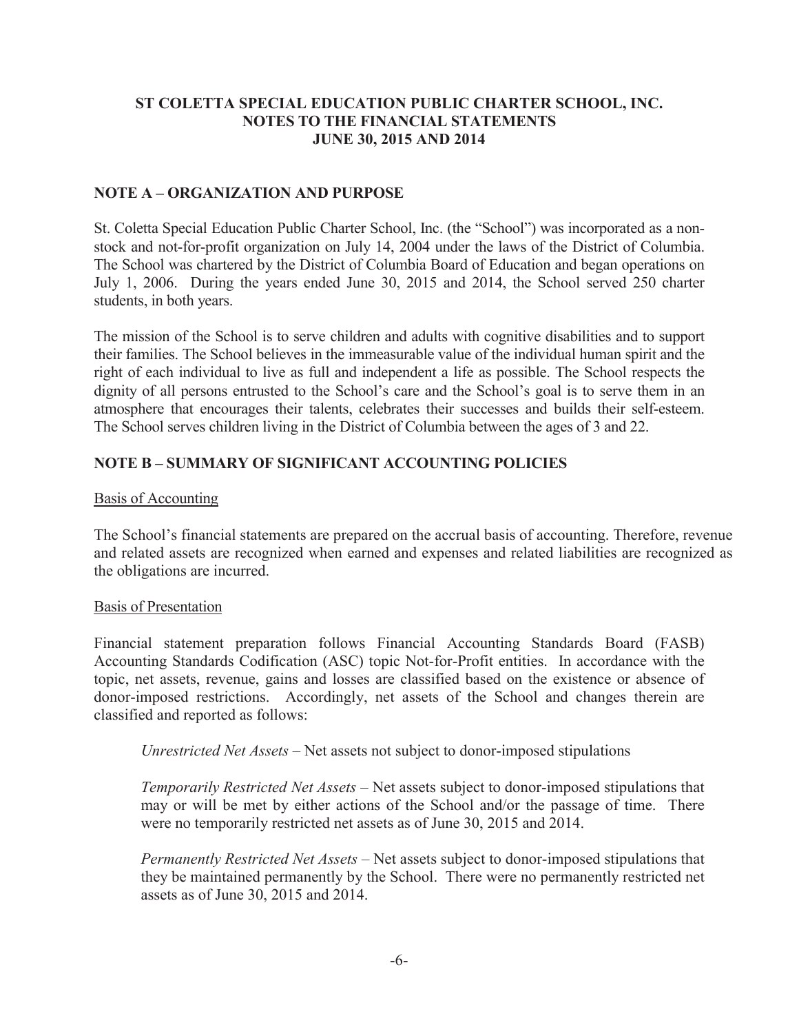## **ST COLETTA SPECIAL EDUCATION PUBLIC CHARTER SCHOOL, INC. NOTES TO THE FINANCIAL STATEMENTS JUNE 30, 2015 AND 2014**

# **NOTE A – ORGANIZATION AND PURPOSE**

St. Coletta Special Education Public Charter School, Inc. (the "School") was incorporated as a nonstock and not-for-profit organization on July 14, 2004 under the laws of the District of Columbia. The School was chartered by the District of Columbia Board of Education and began operations on July 1, 2006. During the years ended June 30, 2015 and 2014, the School served 250 charter students, in both years.

The mission of the School is to serve children and adults with cognitive disabilities and to support their families. The School believes in the immeasurable value of the individual human spirit and the right of each individual to live as full and independent a life as possible. The School respects the dignity of all persons entrusted to the School's care and the School's goal is to serve them in an atmosphere that encourages their talents, celebrates their successes and builds their self-esteem. The School serves children living in the District of Columbia between the ages of 3 and 22.

## **NOTE B – SUMMARY OF SIGNIFICANT ACCOUNTING POLICIES**

#### Basis of Accounting

The School's financial statements are prepared on the accrual basis of accounting. Therefore, revenue and related assets are recognized when earned and expenses and related liabilities are recognized as the obligations are incurred.

## Basis of Presentation

Financial statement preparation follows Financial Accounting Standards Board (FASB) Accounting Standards Codification (ASC) topic Not-for-Profit entities. In accordance with the topic, net assets, revenue, gains and losses are classified based on the existence or absence of donor-imposed restrictions. Accordingly, net assets of the School and changes therein are classified and reported as follows:

*Unrestricted Net Assets* – Net assets not subject to donor-imposed stipulations

*Temporarily Restricted Net Assets* – Net assets subject to donor-imposed stipulations that may or will be met by either actions of the School and/or the passage of time. There were no temporarily restricted net assets as of June 30, 2015 and 2014.

*Permanently Restricted Net Assets* – Net assets subject to donor-imposed stipulations that they be maintained permanently by the School. There were no permanently restricted net assets as of June 30, 2015 and 2014.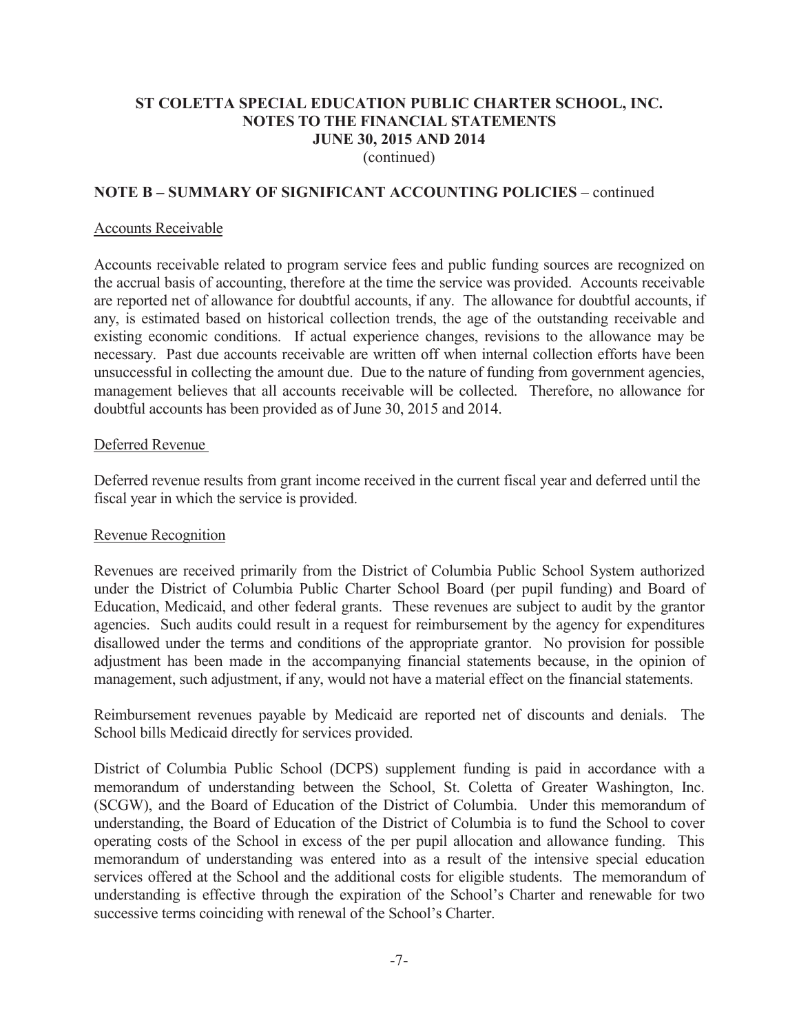## **ST COLETTA SPECIAL EDUCATION PUBLIC CHARTER SCHOOL, INC. NOTES TO THE FINANCIAL STATEMENTS JUNE 30, 2015 AND 2014** (continued)

### **NOTE B – SUMMARY OF SIGNIFICANT ACCOUNTING POLICIES** – continued

#### Accounts Receivable

Accounts receivable related to program service fees and public funding sources are recognized on the accrual basis of accounting, therefore at the time the service was provided. Accounts receivable are reported net of allowance for doubtful accounts, if any. The allowance for doubtful accounts, if any, is estimated based on historical collection trends, the age of the outstanding receivable and existing economic conditions. If actual experience changes, revisions to the allowance may be necessary. Past due accounts receivable are written off when internal collection efforts have been unsuccessful in collecting the amount due. Due to the nature of funding from government agencies, management believes that all accounts receivable will be collected. Therefore, no allowance for doubtful accounts has been provided as of June 30, 2015 and 2014.

#### Deferred Revenue

Deferred revenue results from grant income received in the current fiscal year and deferred until the fiscal year in which the service is provided.

#### Revenue Recognition

Revenues are received primarily from the District of Columbia Public School System authorized under the District of Columbia Public Charter School Board (per pupil funding) and Board of Education, Medicaid, and other federal grants. These revenues are subject to audit by the grantor agencies. Such audits could result in a request for reimbursement by the agency for expenditures disallowed under the terms and conditions of the appropriate grantor. No provision for possible adjustment has been made in the accompanying financial statements because, in the opinion of management, such adjustment, if any, would not have a material effect on the financial statements.

Reimbursement revenues payable by Medicaid are reported net of discounts and denials. The School bills Medicaid directly for services provided.

District of Columbia Public School (DCPS) supplement funding is paid in accordance with a memorandum of understanding between the School, St. Coletta of Greater Washington, Inc. (SCGW), and the Board of Education of the District of Columbia. Under this memorandum of understanding, the Board of Education of the District of Columbia is to fund the School to cover operating costs of the School in excess of the per pupil allocation and allowance funding. This memorandum of understanding was entered into as a result of the intensive special education services offered at the School and the additional costs for eligible students. The memorandum of understanding is effective through the expiration of the School's Charter and renewable for two successive terms coinciding with renewal of the School's Charter.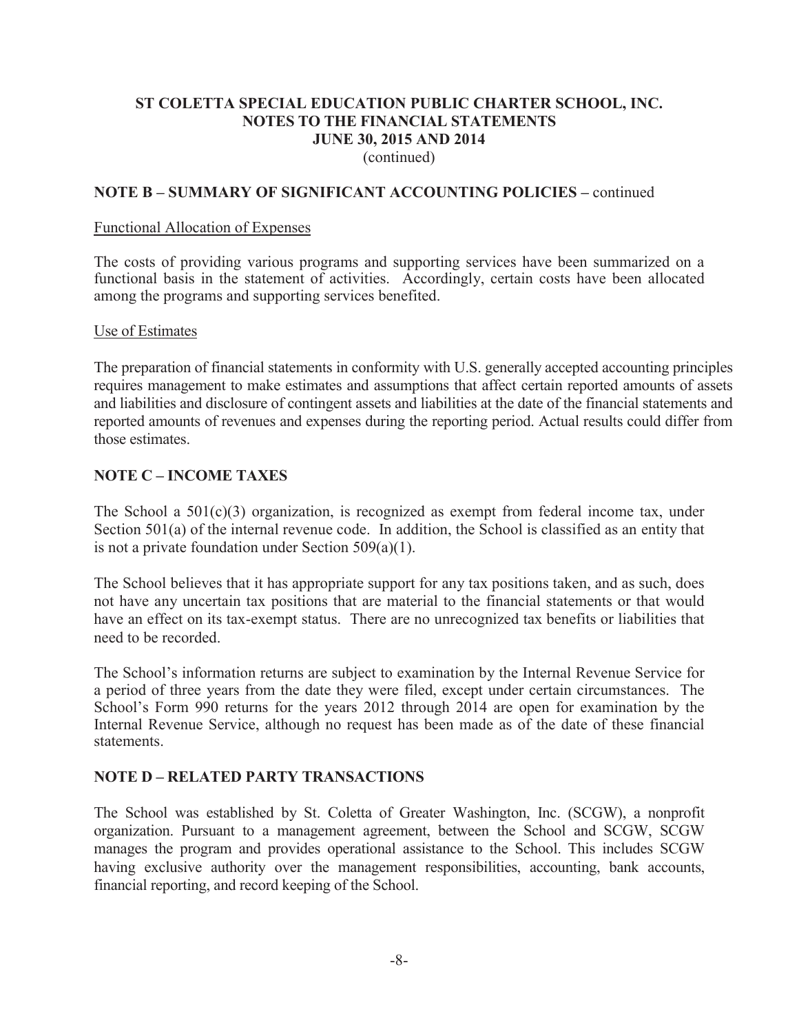## **ST COLETTA SPECIAL EDUCATION PUBLIC CHARTER SCHOOL, INC. NOTES TO THE FINANCIAL STATEMENTS JUNE 30, 2015 AND 2014** (continued)

### **NOTE B – SUMMARY OF SIGNIFICANT ACCOUNTING POLICIES –** continued

#### Functional Allocation of Expenses

The costs of providing various programs and supporting services have been summarized on a functional basis in the statement of activities. Accordingly, certain costs have been allocated among the programs and supporting services benefited.

#### Use of Estimates

The preparation of financial statements in conformity with U.S. generally accepted accounting principles requires management to make estimates and assumptions that affect certain reported amounts of assets and liabilities and disclosure of contingent assets and liabilities at the date of the financial statements and reported amounts of revenues and expenses during the reporting period. Actual results could differ from those estimates.

#### **NOTE C – INCOME TAXES**

The School a 501(c)(3) organization, is recognized as exempt from federal income tax, under Section 501(a) of the internal revenue code. In addition, the School is classified as an entity that is not a private foundation under Section 509(a)(1).

The School believes that it has appropriate support for any tax positions taken, and as such, does not have any uncertain tax positions that are material to the financial statements or that would have an effect on its tax-exempt status. There are no unrecognized tax benefits or liabilities that need to be recorded.

The School's information returns are subject to examination by the Internal Revenue Service for a period of three years from the date they were filed, except under certain circumstances. The School's Form 990 returns for the years 2012 through 2014 are open for examination by the Internal Revenue Service, although no request has been made as of the date of these financial statements.

#### **NOTE D – RELATED PARTY TRANSACTIONS**

The School was established by St. Coletta of Greater Washington, Inc. (SCGW), a nonprofit organization. Pursuant to a management agreement, between the School and SCGW, SCGW manages the program and provides operational assistance to the School. This includes SCGW having exclusive authority over the management responsibilities, accounting, bank accounts, financial reporting, and record keeping of the School.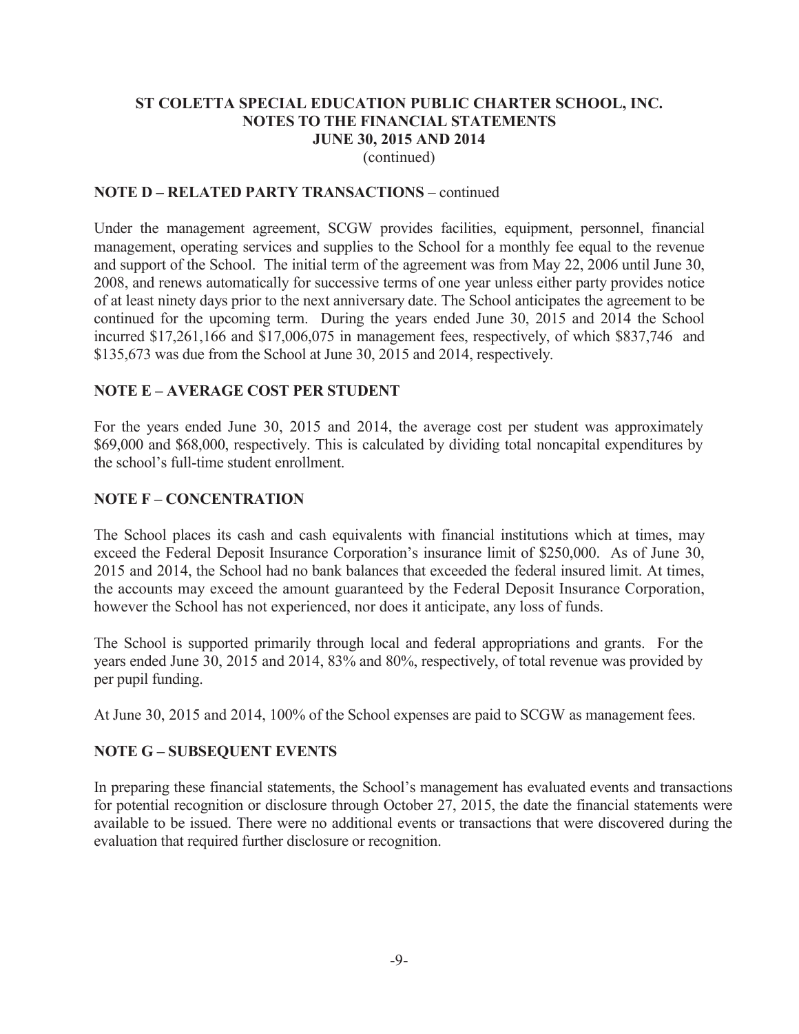## **ST COLETTA SPECIAL EDUCATION PUBLIC CHARTER SCHOOL, INC. NOTES TO THE FINANCIAL STATEMENTS JUNE 30, 2015 AND 2014** (continued)

#### **NOTE D – RELATED PARTY TRANSACTIONS** – continued

Under the management agreement, SCGW provides facilities, equipment, personnel, financial management, operating services and supplies to the School for a monthly fee equal to the revenue and support of the School. The initial term of the agreement was from May 22, 2006 until June 30, 2008, and renews automatically for successive terms of one year unless either party provides notice of at least ninety days prior to the next anniversary date. The School anticipates the agreement to be continued for the upcoming term. During the years ended June 30, 2015 and 2014 the School incurred \$17,261,166 and \$17,006,075 in management fees, respectively, of which \$837,746 and \$135,673 was due from the School at June 30, 2015 and 2014, respectively.

#### **NOTE E – AVERAGE COST PER STUDENT**

For the years ended June 30, 2015 and 2014, the average cost per student was approximately \$69,000 and \$68,000, respectively. This is calculated by dividing total noncapital expenditures by the school's full-time student enrollment.

#### **NOTE F – CONCENTRATION**

The School places its cash and cash equivalents with financial institutions which at times, may exceed the Federal Deposit Insurance Corporation's insurance limit of \$250,000. As of June 30, 2015 and 2014, the School had no bank balances that exceeded the federal insured limit. At times, the accounts may exceed the amount guaranteed by the Federal Deposit Insurance Corporation, however the School has not experienced, nor does it anticipate, any loss of funds.

The School is supported primarily through local and federal appropriations and grants. For the years ended June 30, 2015 and 2014, 83% and 80%, respectively, of total revenue was provided by per pupil funding.

At June 30, 2015 and 2014, 100% of the School expenses are paid to SCGW as management fees.

#### **NOTE G – SUBSEQUENT EVENTS**

In preparing these financial statements, the School's management has evaluated events and transactions for potential recognition or disclosure through October 27, 2015, the date the financial statements were available to be issued. There were no additional events or transactions that were discovered during the evaluation that required further disclosure or recognition.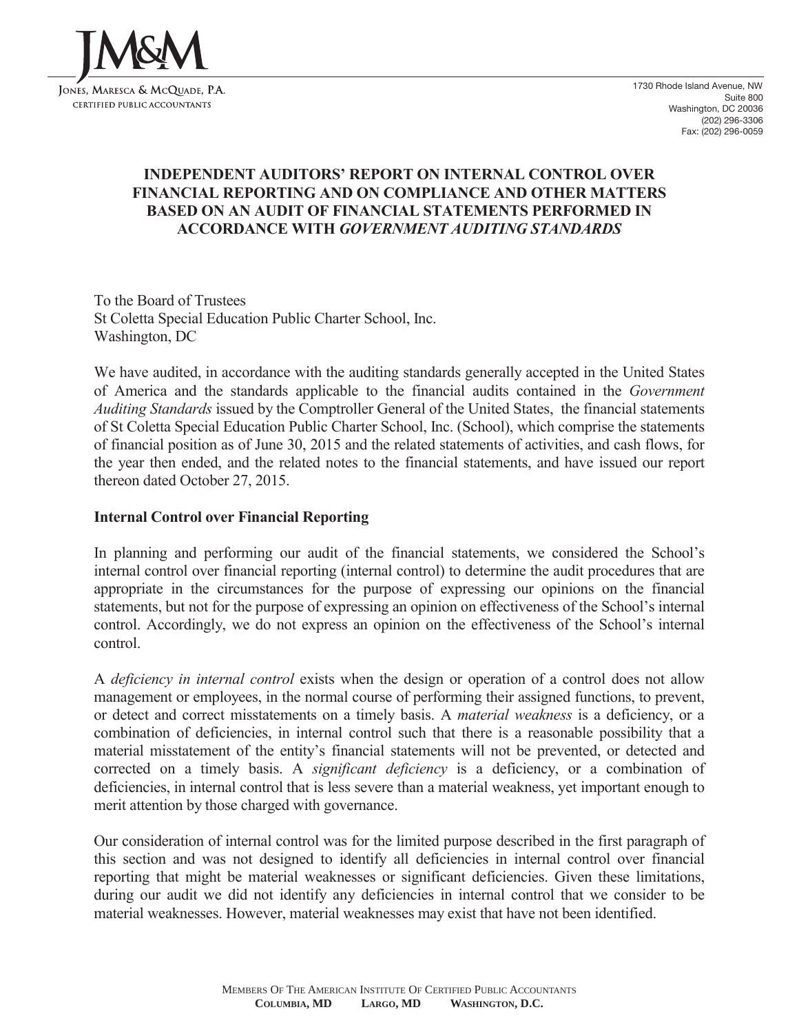

# **INDEPENDENT AUDITORS' REPORT ON INTERNAL CONTROL OVER FINANCIAL REPORTING AND ON COMPLIANCE AND OTHER MATTERS BASED ON AN AUDIT OF FINANCIAL STATEMENTS PERFORMED IN ACCORDANCE WITH** *GOVERNMENT AUDITING STANDARDS*

To the Board of Trustees St Coletta Special Education Public Charter School, Inc. Washington, DC

We have audited, in accordance with the auditing standards generally accepted in the United States of America and the standards applicable to the financial audits contained in the *Government Auditing Standards* issued by the Comptroller General of the United States, the financial statements of St Coletta Special Education Public Charter School, Inc. (School), which comprise the statements of financial position as of June 30, 2015 and the related statements of activities, and cash flows, for the year then ended, and the related notes to the financial statements, and have issued our report thereon dated October 27, 2015.

## **Internal Control over Financial Reporting**

In planning and performing our audit of the financial statements, we considered the School's internal control over financial reporting (internal control) to determine the audit procedures that are appropriate in the circumstances for the purpose of expressing our opinions on the financial statements, but not for the purpose of expressing an opinion on effectiveness of the School's internal control. Accordingly, we do not express an opinion on the effectiveness of the School's internal control.

A *deficiency in internal control* exists when the design or operation of a control does not allow management or employees, in the normal course of performing their assigned functions, to prevent, or detect and correct misstatements on a timely basis. A *material weakness* is a deficiency, or a combination of deficiencies, in internal control such that there is a reasonable possibility that a material misstatement of the entity's financial statements will not be prevented, or detected and corrected on a timely basis. A *significant deficiency* is a deficiency, or a combination of deficiencies, in internal control that is less severe than a material weakness, yet important enough to merit attention by those charged with governance.

Our consideration of internal control was for the limited purpose described in the first paragraph of this section and was not designed to identify all deficiencies in internal control over financial reporting that might be material weaknesses or significant deficiencies. Given these limitations, during our audit we did not identify any deficiencies in internal control that we consider to be material weaknesses. However, material weaknesses may exist that have not been identified.